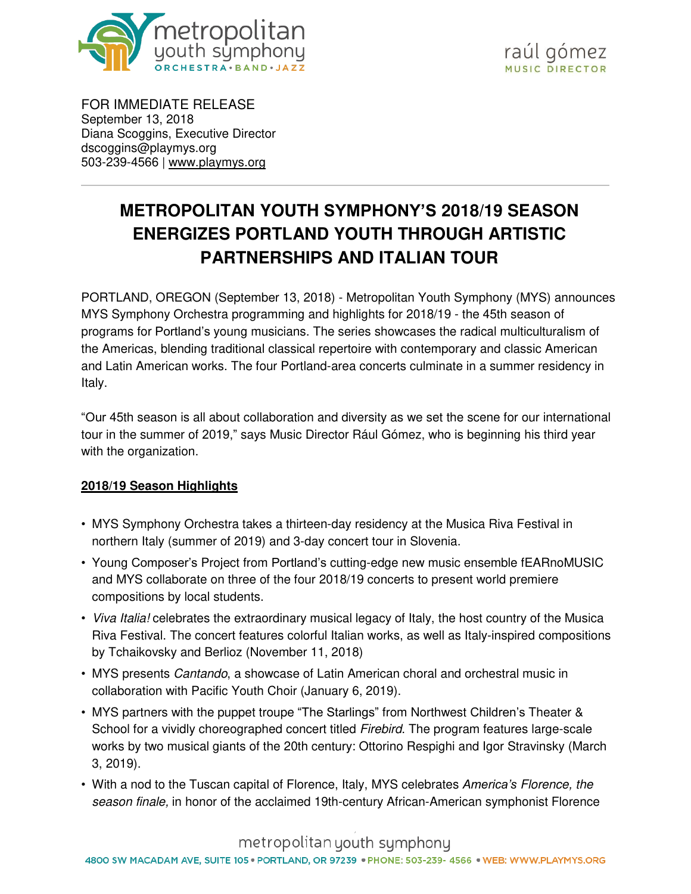

FOR IMMEDIATE RELEASE September 13, 2018 Diana Scoggins, Executive Director dscoggins@playmys.org 503-239-4566 | [www.playmys.org](http://www.playmys.org/)

 $\overline{a}$ 

# **METROPOLITAN YOUTH SYMPHONY'S 2018/19 SEASON ENERGIZES PORTLAND YOUTH THROUGH ARTISTIC PARTNERSHIPS AND ITALIAN TOUR**

PORTLAND, OREGON (September 13, 2018) - Metropolitan Youth Symphony (MYS) announces MYS Symphony Orchestra programming and highlights for 2018/19 - the 45th season of programs for Portland's young musicians. The series showcases the radical multiculturalism of the Americas, blending traditional classical repertoire with contemporary and classic American and Latin American works. The four Portland-area concerts culminate in a summer residency in Italy.

"Our 45th season is all about collaboration and diversity as we set the scene for our international tour in the summer of 2019," says Music Director Rául Gómez, who is beginning his third year with the organization.

# **2018/19 Season Highlights**

- MYS Symphony Orchestra takes a thirteen-day residency at the Musica Riva Festival in northern Italy (summer of 2019) and 3-day concert tour in Slovenia.
- Young Composer's Project from Portland's cutting-edge new music ensemble fEARnoMUSIC and MYS collaborate on three of the four 2018/19 concerts to present world premiere compositions by local students.
- Viva Italia! celebrates the extraordinary musical legacy of Italy, the host country of the Musica Riva Festival. The concert features colorful Italian works, as well as Italy-inspired compositions by Tchaikovsky and Berlioz (November 11, 2018)
- MYS presents Cantando, a showcase of Latin American choral and orchestral music in collaboration with Pacific Youth Choir (January 6, 2019).
- MYS partners with the puppet troupe "The Starlings" from Northwest Children's Theater & School for a vividly choreographed concert titled *Firebird*. The program features large-scale works by two musical giants of the 20th century: Ottorino Respighi and Igor Stravinsky (March 3, 2019).
- With a nod to the Tuscan capital of Florence, Italy, MYS celebrates *America's* Florence, the season finale, in honor of the acclaimed 19th-century African-American symphonist Florence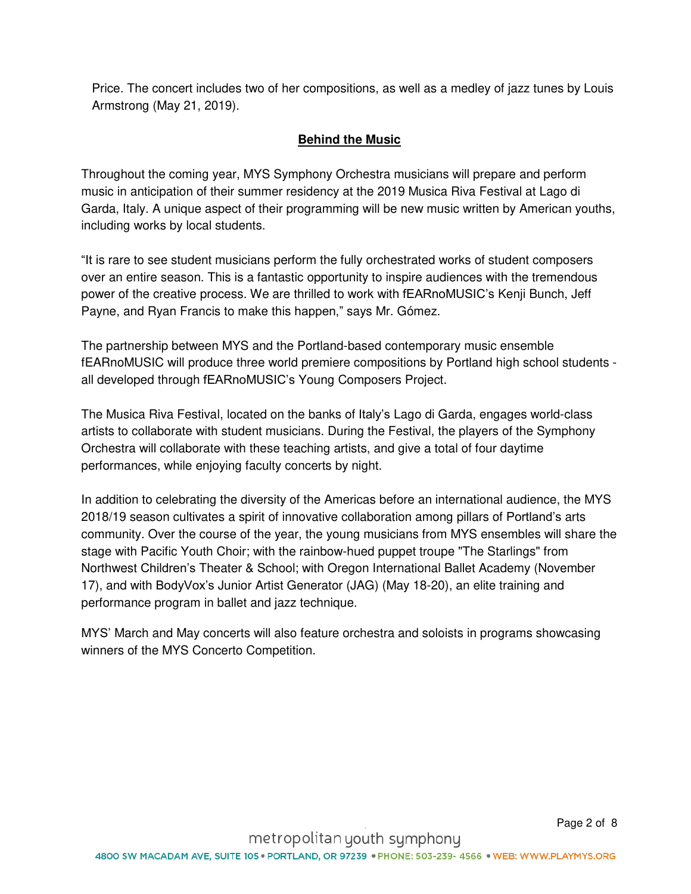Price. The concert includes two of her compositions, as well as a medley of jazz tunes by Louis Armstrong (May 21, 2019).

# **Behind the Music**

Throughout the coming year, MYS Symphony Orchestra musicians will prepare and perform music in anticipation of their summer residency at the 2019 Musica Riva Festival at Lago di Garda, Italy. A unique aspect of their programming will be new music written by American youths, including works by local students.

"It is rare to see student musicians perform the fully orchestrated works of student composers over an entire season. This is a fantastic opportunity to inspire audiences with the tremendous power of the creative process. We are thrilled to work with fEARnoMUSIC's Kenji Bunch, Jeff Payne, and Ryan Francis to make this happen," says Mr. Gómez.

The partnership between MYS and the Portland-based contemporary music ensemble fEARnoMUSIC will produce three world premiere compositions by Portland high school students all developed through fEARnoMUSIC's Young Composers Project.

The Musica Riva Festival, located on the banks of Italy's Lago di Garda, engages world-class artists to collaborate with student musicians. During the Festival, the players of the Symphony Orchestra will collaborate with these teaching artists, and give a total of four daytime performances, while enjoying faculty concerts by night.

In addition to celebrating the diversity of the Americas before an international audience, the MYS 2018/19 season cultivates a spirit of innovative collaboration among pillars of Portland's arts community. Over the course of the year, the young musicians from MYS ensembles will share the stage with Pacific Youth Choir; with the rainbow-hued puppet troupe "The Starlings" from Northwest Children's Theater & School; with Oregon International Ballet Academy (November 17), and with BodyVox's Junior Artist Generator (JAG) (May 18-20), an elite training and performance program in ballet and jazz technique.

MYS' March and May concerts will also feature orchestra and soloists in programs showcasing winners of the MYS Concerto Competition.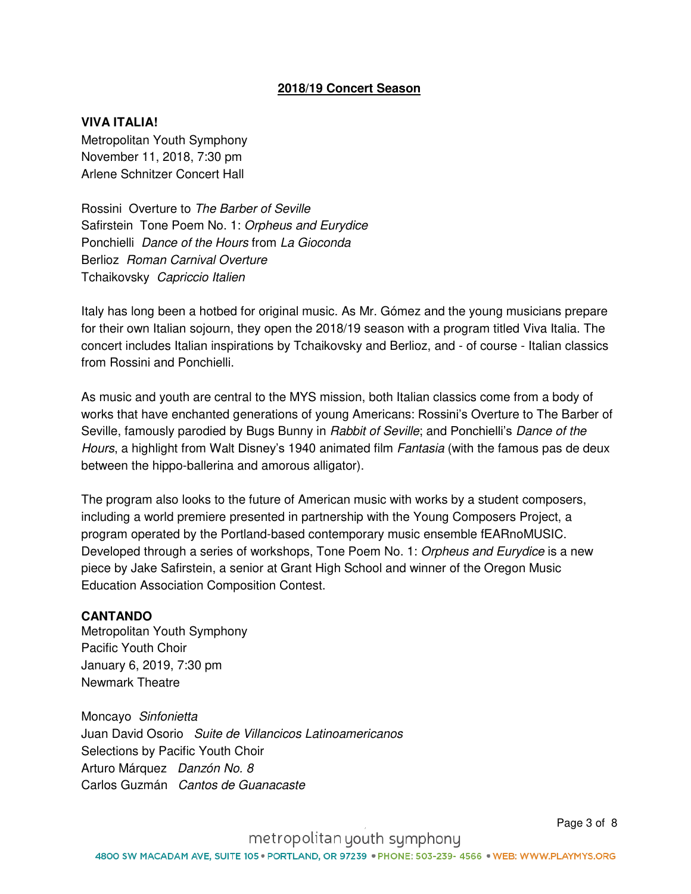#### **2018/19 Concert Season**

#### **VIVA ITALIA!**

Metropolitan Youth Symphony November 11, 2018, 7:30 pm Arlene Schnitzer Concert Hall

Rossini Overture to The Barber of Seville Safirstein Tone Poem No. 1: Orpheus and Eurydice Ponchielli Dance of the Hours from La Gioconda Berlioz Roman Carnival Overture Tchaikovsky Capriccio Italien

Italy has long been a hotbed for original music. As Mr. Gómez and the young musicians prepare for their own Italian sojourn, they open the 2018/19 season with a program titled Viva Italia. The concert includes Italian inspirations by Tchaikovsky and Berlioz, and - of course - Italian classics from Rossini and Ponchielli.

As music and youth are central to the MYS mission, both Italian classics come from a body of works that have enchanted generations of young Americans: Rossini's Overture to The Barber of Seville, famously parodied by Bugs Bunny in Rabbit of Seville; and Ponchielli's Dance of the Hours, a highlight from Walt Disney's 1940 animated film Fantasia (with the famous pas de deux between the hippo-ballerina and amorous alligator).

The program also looks to the future of American music with works by a student composers, including a world premiere presented in partnership with the Young Composers Project, a program operated by the Portland-based contemporary music ensemble fEARnoMUSIC. Developed through a series of workshops, Tone Poem No. 1: Orpheus and Eurydice is a new piece by Jake Safirstein, a senior at Grant High School and winner of the Oregon Music Education Association Composition Contest.

#### **CANTANDO**

Metropolitan Youth Symphony Pacific Youth Choir January 6, 2019, 7:30 pm Newmark Theatre

Moncayo Sinfonietta Juan David Osorio Suite de Villancicos Latinoamericanos Selections by Pacific Youth Choir Arturo Márquez Danzón No. 8 Carlos Guzmán Cantos de Guanacaste

Page 3 of 8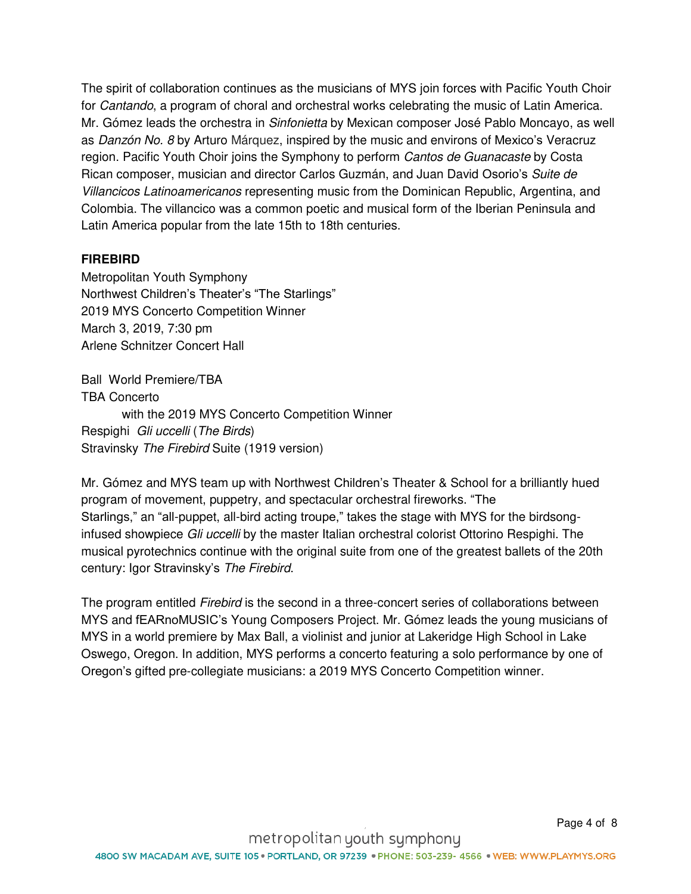The spirit of collaboration continues as the musicians of MYS join forces with Pacific Youth Choir for Cantando, a program of choral and orchestral works celebrating the music of Latin America. Mr. Gómez leads the orchestra in Sinfonietta by Mexican composer José Pablo Moncayo, as well as Danzón No. 8 by Arturo Márquez, inspired by the music and environs of Mexico's Veracruz region. Pacific Youth Choir joins the Symphony to perform Cantos de Guanacaste by Costa Rican composer, musician and director Carlos Guzmán, and Juan David Osorio's Suite de Villancicos Latinoamericanos representing music from the Dominican Republic, Argentina, and Colombia. The villancico was a common poetic and musical form of the Iberian Peninsula and Latin America popular from the late 15th to 18th centuries.

#### **FIREBIRD**

Metropolitan Youth Symphony Northwest Children's Theater's "The Starlings" 2019 MYS Concerto Competition Winner March 3, 2019, 7:30 pm Arlene Schnitzer Concert Hall

Ball World Premiere/TBA TBA Concerto with the 2019 MYS Concerto Competition Winner Respighi Gli uccelli (The Birds) Stravinsky The Firebird Suite (1919 version)

Mr. Gómez and MYS team up with Northwest Children's Theater & School for a brilliantly hued program of movement, puppetry, and spectacular orchestral fireworks. "The Starlings," an "all-puppet, all-bird acting troupe," takes the stage with MYS for the birdsonginfused showpiece Gli uccelli by the master Italian orchestral colorist Ottorino Respighi. The musical pyrotechnics continue with the original suite from one of the greatest ballets of the 20th century: Igor Stravinsky's The Firebird.

The program entitled *Firebird* is the second in a three-concert series of collaborations between MYS and fEARnoMUSIC's Young Composers Project. Mr. Gómez leads the young musicians of MYS in a world premiere by Max Ball, a violinist and junior at Lakeridge High School in Lake Oswego, Oregon. In addition, MYS performs a concerto featuring a solo performance by one of Oregon's gifted pre-collegiate musicians: a 2019 MYS Concerto Competition winner.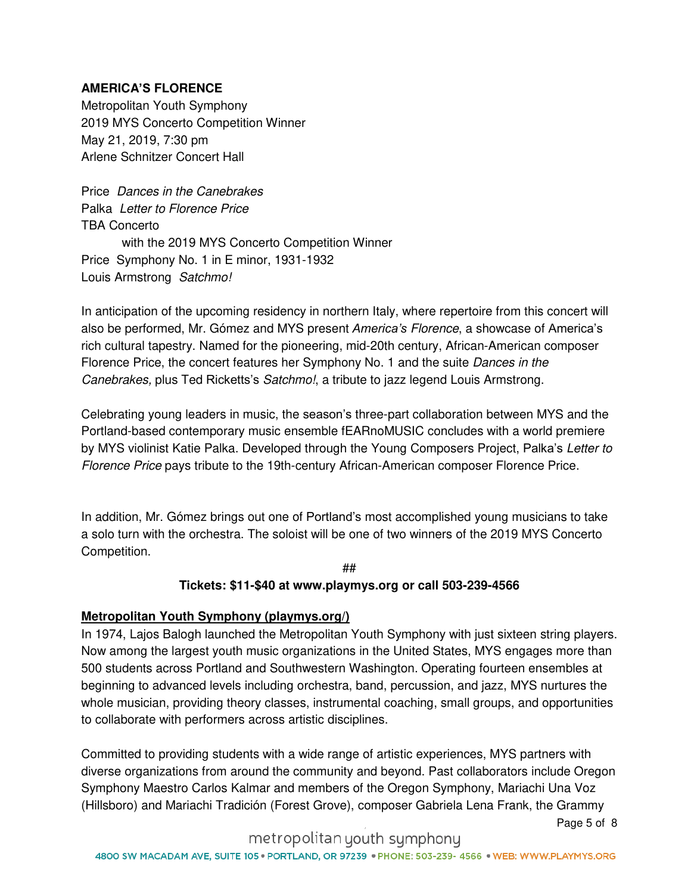### **AMERICA'S FLORENCE**

Metropolitan Youth Symphony 2019 MYS Concerto Competition Winner May 21, 2019, 7:30 pm Arlene Schnitzer Concert Hall

Price Dances in the Canebrakes Palka Letter to Florence Price TBA Concerto with the 2019 MYS Concerto Competition Winner Price Symphony No. 1 in E minor, 1931-1932 Louis Armstrong Satchmo!

In anticipation of the upcoming residency in northern Italy, where repertoire from this concert will also be performed, Mr. Gómez and MYS present *America's* Florence, a showcase of America's rich cultural tapestry. Named for the pioneering, mid-20th century, African-American composer Florence Price, the concert features her Symphony No. 1 and the suite Dances in the Canebrakes, plus Ted Ricketts's Satchmo!, a tribute to jazz legend Louis Armstrong.

Celebrating young leaders in music, the season's three-part collaboration between MYS and the Portland-based contemporary music ensemble fEARnoMUSIC concludes with a world premiere by MYS violinist Katie Palka. Developed through the Young Composers Project, Palka's Letter to Florence Price pays tribute to the 19th-century African-American composer Florence Price.

In addition, Mr. Gómez brings out one of Portland's most accomplished young musicians to take a solo turn with the orchestra. The soloist will be one of two winners of the 2019 MYS Concerto Competition.

> ## **Tickets: \$11-\$40 at [www.playmys.org](http://www.playmys.org/) or call 503-239-4566**

#### **Metropolitan Youth Symphony [\(playmys.org/\)](http://playmys.org/)**

In 1974, Lajos Balogh launched the Metropolitan Youth Symphony with just sixteen string players. Now among the largest youth music organizations in the United States, MYS engages more than 500 students across Portland and Southwestern Washington. Operating fourteen ensembles at beginning to advanced levels including orchestra, band, percussion, and jazz, MYS nurtures the whole musician, providing theory classes, instrumental coaching, small groups, and opportunities to collaborate with performers across artistic disciplines.

Committed to providing students with a wide range of artistic experiences, MYS partners with diverse organizations from around the community and beyond. Past collaborators include Oregon Symphony Maestro Carlos Kalmar and members of the Oregon Symphony, Mariachi Una Voz (Hillsboro) and Mariachi Tradición (Forest Grove), composer Gabriela Lena Frank, the Grammy

Page 5 of 8

# metropolitan youth symphony

4800 SW MACADAM AVE, SUITE 105 · PORTLAND, OR 97239 · PHONE: 503-239- 4566 · WEB: WWW.PLAYMYS.ORG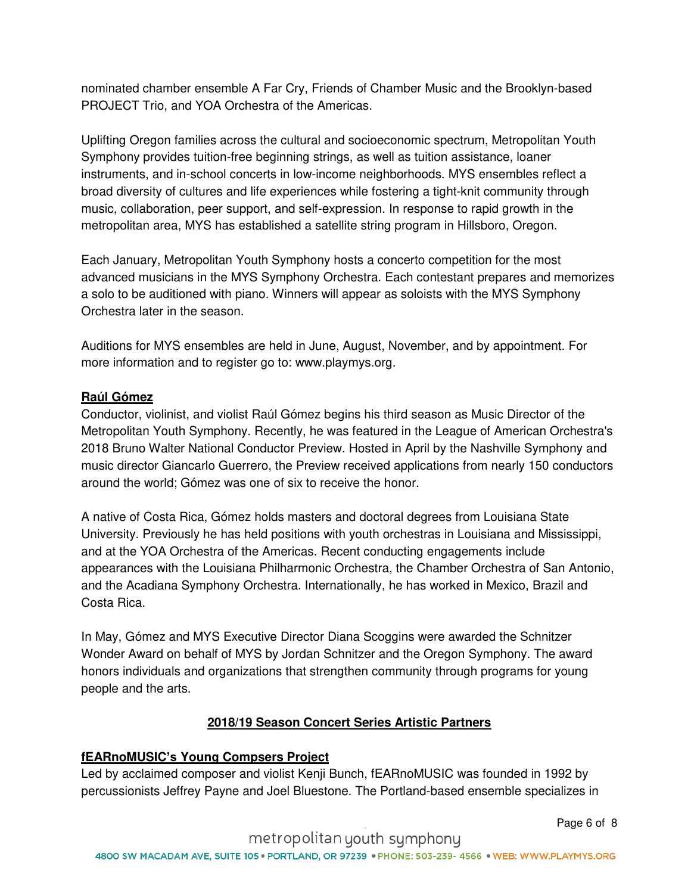nominated chamber ensemble A Far Cry, Friends of Chamber Music and the Brooklyn-based PROJECT Trio, and YOA Orchestra of the Americas.

Uplifting Oregon families across the cultural and socioeconomic spectrum, Metropolitan Youth Symphony provides tuition-free beginning strings, as well as tuition assistance, loaner instruments, and in-school concerts in low-income neighborhoods. MYS ensembles reflect a broad diversity of cultures and life experiences while fostering a tight-knit community through music, collaboration, peer support, and self-expression. In response to rapid growth in the metropolitan area, MYS has established a satellite string program in Hillsboro, Oregon.

Each January, Metropolitan Youth Symphony hosts a concerto competition for the most advanced musicians in the MYS Symphony Orchestra. Each contestant prepares and memorizes a solo to be auditioned with piano. Winners will appear as soloists with the MYS Symphony Orchestra later in the season.

Auditions for MYS ensembles are held in June, August, November, and by appointment. For more information and to register go to: [www.playmys.org.](http://www.playmys.org/)

#### **Raúl Gómez**

Conductor, violinist, and violist Raúl Gómez begins his third season as Music Director of the Metropolitan Youth Symphony. Recently, he was featured in the League of American Orchestra's 2018 Bruno Walter National Conductor Preview. Hosted in April by the Nashville Symphony and music director Giancarlo Guerrero, the Preview received applications from nearly 150 conductors around the world; Gómez was one of six to receive the honor.

A native of Costa Rica, Gómez holds masters and doctoral degrees from Louisiana State University. Previously he has held positions with youth orchestras in Louisiana and Mississippi, and at the YOA Orchestra of the Americas. Recent conducting engagements include appearances with the Louisiana Philharmonic Orchestra, the Chamber Orchestra of San Antonio, and the Acadiana Symphony Orchestra. Internationally, he has worked in Mexico, Brazil and Costa Rica.

In May, Gómez and MYS Executive Director Diana Scoggins were awarded the Schnitzer Wonder Award on behalf of MYS by Jordan Schnitzer and the Oregon Symphony. The award honors individuals and organizations that strengthen community through programs for young people and the arts.

# **2018/19 Season Concert Series Artistic Partners**

# **fEARnoMUSIC's Young Compsers Project**

Led by acclaimed composer and violist Kenji Bunch, fEARnoMUSIC was founded in 1992 by percussionists Jeffrey Payne and Joel Bluestone. The Portland-based ensemble specializes in